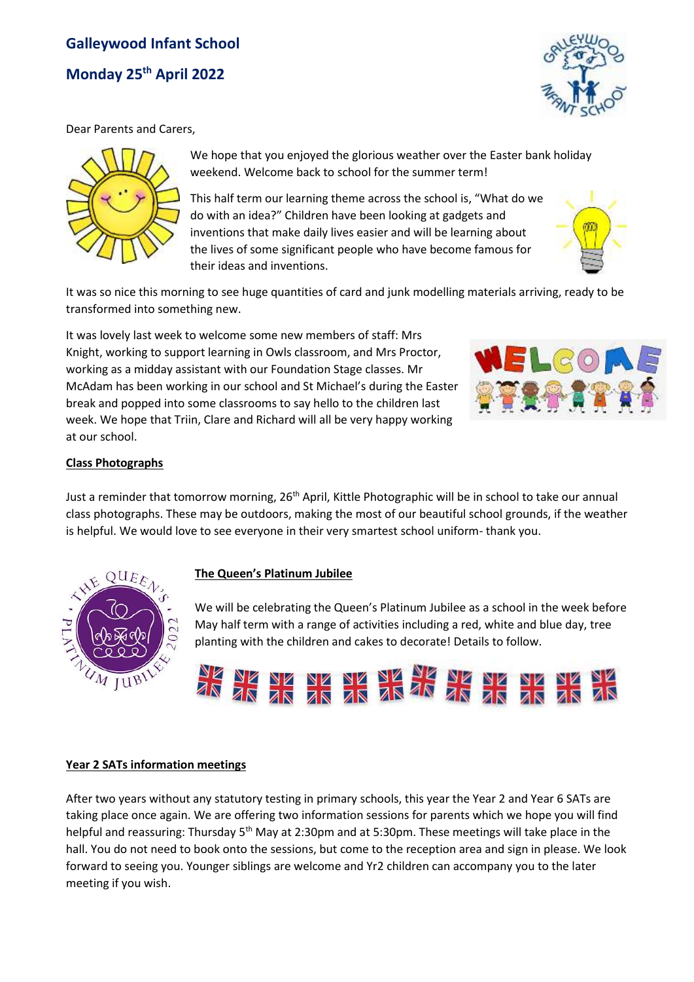# **Galleywood Infant School Monday 25th April 2022**



Dear Parents and Carers,



We hope that you enjoyed the glorious weather over the Easter bank holiday weekend. Welcome back to school for the summer term!

This half term our learning theme across the school is, "What do we do with an idea?" Children have been looking at gadgets and inventions that make daily lives easier and will be learning about the lives of some significant people who have become famous for their ideas and inventions.



It was so nice this morning to see huge quantities of card and junk modelling materials arriving, ready to be transformed into something new.

It was lovely last week to welcome some new members of staff: Mrs Knight, working to support learning in Owls classroom, and Mrs Proctor, working as a midday assistant with our Foundation Stage classes. Mr McAdam has been working in our school and St Michael's during the Easter break and popped into some classrooms to say hello to the children last week. We hope that Triin, Clare and Richard will all be very happy working at our school.



### **Class Photographs**

Just a reminder that tomorrow morning, 26<sup>th</sup> April, Kittle Photographic will be in school to take our annual class photographs. These may be outdoors, making the most of our beautiful school grounds, if the weather is helpful. We would love to see everyone in their very smartest school uniform- thank you.



### **The Queen's Platinum Jubilee**

We will be celebrating the Queen's Platinum Jubilee as a school in the week before May half term with a range of activities including a red, white and blue day, tree planting with the children and cakes to decorate! Details to follow.



### **Year 2 SATs information meetings**

After two years without any statutory testing in primary schools, this year the Year 2 and Year 6 SATs are taking place once again. We are offering two information sessions for parents which we hope you will find helpful and reassuring: Thursday 5<sup>th</sup> May at 2:30pm and at 5:30pm. These meetings will take place in the hall. You do not need to book onto the sessions, but come to the reception area and sign in please. We look forward to seeing you. Younger siblings are welcome and Yr2 children can accompany you to the later meeting if you wish.